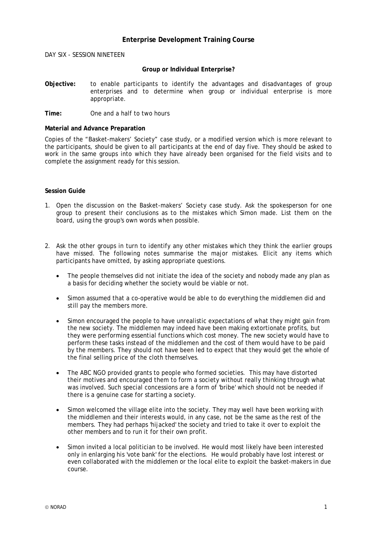## **Enterprise Development Training Course**

DAY SIX - SESSION NINETEEN

## **Group or Individual Enterprise?**

**Objective:** to enable participants to identify the advantages and disadvantages of group enterprises and to determine when group or individual enterprise is more appropriate.

**Time:** One and a half to two hours

## **Material and Advance Preparation**

Copies of the "Basket-makers' Society" case study, or a modified version which is more relevant to the participants, should be given to all participants at the end of day five. They should be asked to work in the same groups into which they have already been organised for the field visits and to complete the assignment ready for this session.

## **Session Guide**

- 1. Open the discussion on the Basket-makers' Society case study. Ask the spokesperson for one group to present their conclusions as to the mistakes which Simon made. List them on the board, using the group's own words when possible.
- 2. Ask the other groups in turn to identify any other mistakes which they think the earlier groups have missed. The following notes summarise the major mistakes. Elicit any items which participants have omitted, by asking appropriate questions.
	- The people themselves did not initiate the idea of the society and nobody made any plan as a basis for deciding whether the society would be viable or not.
	- Simon assumed that a co-operative would be able to do everything the middlemen did and still pay the members more.
	- Simon encouraged the people to have unrealistic expectations of what they might gain from the new society. The middlemen may indeed have been making extortionate profits, but they were performing essential functions which cost money. The new society would have to perform these tasks instead of the middlemen and the cost of them would have to be paid by the members. They should not have been led to expect that they would get the whole of the final selling price of the cloth themselves.
	- The ABC NGO provided grants to people who formed societies. This may have distorted their motives and encouraged them to form a society without really thinking through what was involved. Such special concessions are a form of 'bribe' which should not be needed if there is a genuine case for starting a society.
	- Simon welcomed the village elite into the society. They may well have been working with the middlemen and their interests would, in any case, not be the same as the rest of the members. They had perhaps 'hijacked' the society and tried to take it over to exploit the other members and to run it for their own profit.
	- Simon invited a local politician to be involved. He would most likely have been interested only in enlarging his 'vote bank' for the elections. He would probably have lost interest or even collaborated with the middlemen or the local elite to exploit the basket-makers in due course.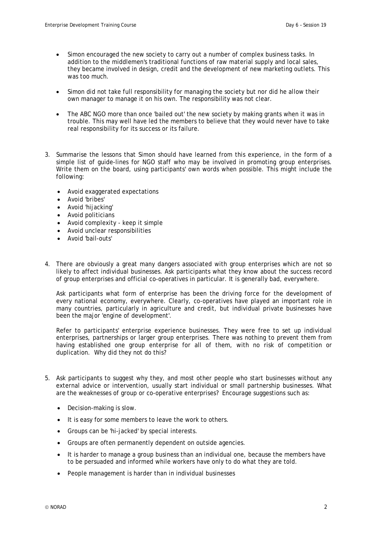- Simon encouraged the new society to carry out a number of complex business tasks. In addition to the middlemen's traditional functions of raw material supply and local sales, they became involved in design, credit and the development of new marketing outlets. This was too much.
- Simon did not take full responsibility for managing the society but nor did he allow their own manager to manage it on his own. The responsibility was not clear.
- The ABC NGO more than once 'bailed out' the new society by making grants when it was in trouble. This may well have led the members to believe that they would never have to take real responsibility for its success or its failure.
- 3. Summarise the lessons that Simon should have learned from this experience, in the form of a simple list of guide-lines for NGO staff who may be involved in promoting group enterprises. Write them on the board, using participants' own words when possible. This might include the following:
	- Avoid exaggerated expectations
	- Avoid 'bribes'
	- Avoid 'hijacking'
	- Avoid politicians
	- Avoid complexity keep it simple
	- Avoid unclear responsibilities
	- Avoid 'bail-outs'
- 4. There are obviously a great many dangers associated with group enterprises which are not so likely to affect individual businesses. Ask participants what they know about the success record of group enterprises and official co-operatives in particular. It is generally bad, everywhere.

Ask participants what form of enterprise has been the driving force for the development of every national economy, everywhere. Clearly, co-operatives have played an important role in many countries, particularly in agriculture and credit, but individual private businesses have been the major 'engine of development'.

Refer to participants' enterprise experience businesses. They were free to set up individual enterprises, partnerships or larger group enterprises. There was nothing to prevent them from having established one group enterprise for all of them, with no risk of competition or duplication. Why did they not do this?

- 5. Ask participants to suggest why they, and most other people who start businesses without any external advice or intervention, usually start individual or small partnership businesses. What are the weaknesses of group or co-operative enterprises? Encourage suggestions such as:
	- Decision-making is slow.
	- It is easy for some members to leave the work to others.
	- Groups can be 'hi-jacked' by special interests.
	- Groups are often permanently dependent on outside agencies.
	- It is harder to manage a group business than an individual one, because the members have to be persuaded and informed while workers have only to do what they are told.
	- People management is harder than in individual businesses